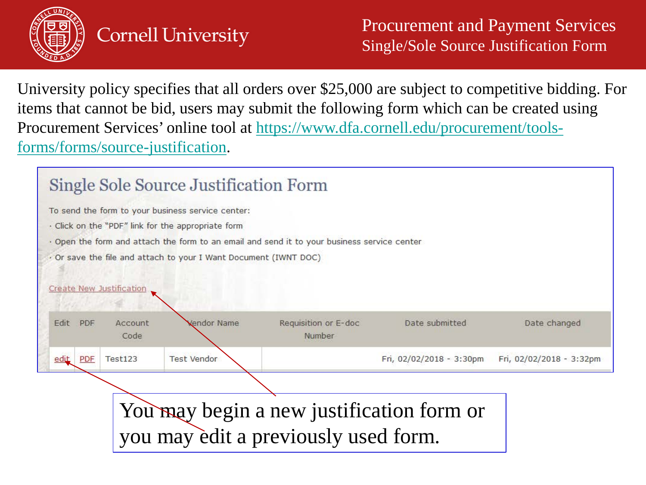

University policy specifies that all orders over \$25,000 are subject to competitive bidding. For items that cannot be bid, users may submit the following form which can be created using [Procurement Services' online tool at https://www.dfa.cornell.edu/procurement/tools](https://www.dfa.cornell.edu/procurement/tools-forms/forms/source-justification)forms/forms/source-justification.

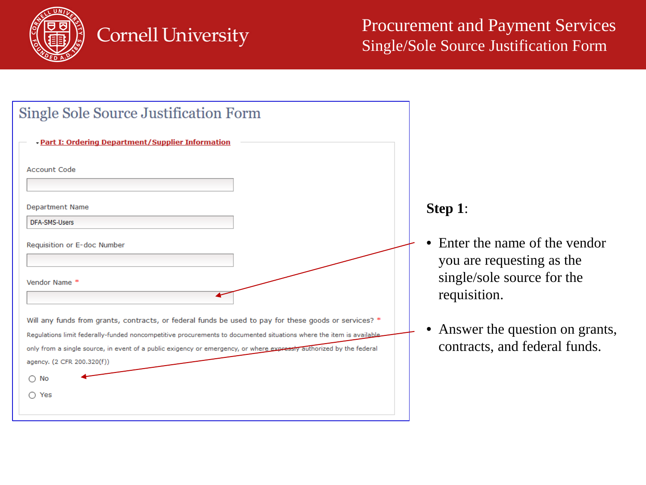

| <b>Single Sole Source Justification Form</b>                                                                                                                                                                                                                                                                                                                                      |                                                                                                         |
|-----------------------------------------------------------------------------------------------------------------------------------------------------------------------------------------------------------------------------------------------------------------------------------------------------------------------------------------------------------------------------------|---------------------------------------------------------------------------------------------------------|
| - Part I: Ordering Department/Supplier Information                                                                                                                                                                                                                                                                                                                                |                                                                                                         |
| <b>Account Code</b>                                                                                                                                                                                                                                                                                                                                                               |                                                                                                         |
| <b>Department Name</b>                                                                                                                                                                                                                                                                                                                                                            | Step 1:                                                                                                 |
| <b>DFA-SMS-Users</b>                                                                                                                                                                                                                                                                                                                                                              |                                                                                                         |
| Requisition or E-doc Number<br>Vendor Name *                                                                                                                                                                                                                                                                                                                                      | Enter the name of the vendor<br>you are requesting as the<br>single/sole source for the<br>requisition. |
| Will any funds from grants, contracts, or federal funds be used to pay for these goods or services? *<br>Regulations limit federally-funded noncompetitive procurements to documented situations where the item is available<br>only from a single source, in event of a public exigency or emergency, or where expressly authorized by the federal<br>agency. (2 CFR 200.320(f)) | Answer the question on grants,<br>contracts, and federal funds.                                         |
| $\bigcirc$ No                                                                                                                                                                                                                                                                                                                                                                     |                                                                                                         |
| $\bigcirc$ Yes                                                                                                                                                                                                                                                                                                                                                                    |                                                                                                         |
|                                                                                                                                                                                                                                                                                                                                                                                   |                                                                                                         |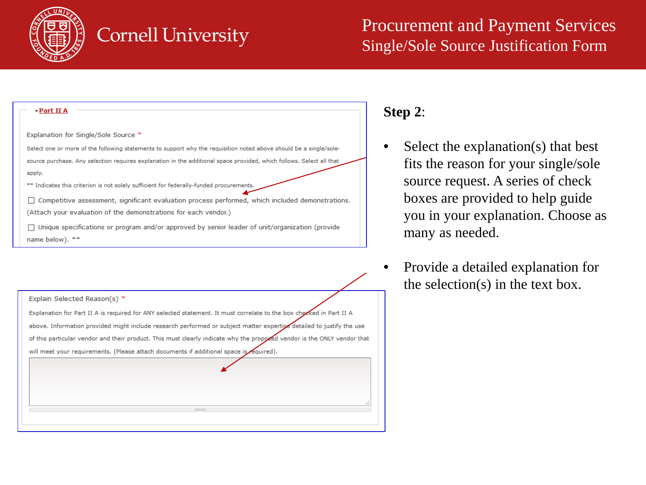

| - Part II A                                                                                                          |
|----------------------------------------------------------------------------------------------------------------------|
| Explanation for Single/Sole Source *                                                                                 |
| Select one or more of the following statements to support why the requisition noted above should be a single/sole-   |
| source purchase. Any selection requires explanation in the additional space provided, which follows. Select all that |
| apply.                                                                                                               |
| ** Indicates this criterion is not solely sufficient for federally-funded procurements.                              |
| Competitive assessment, significant evaluation process performed, which included demonstrations.                     |
| (Attach your evaluation of the demonstrations for each vendor.)                                                      |
| Unique specifications or program and/or approved by senior leader of unit/organization (provide                      |
| name below). **                                                                                                      |
|                                                                                                                      |

| Explain Selected Reason(s) *                                                                                            |
|-------------------------------------------------------------------------------------------------------------------------|
| Explanation for Part II A is required for ANY selected statement. It must correlate to the box checked in Part II A     |
| above. Information provided might include research performed or subject matter expertise detailed to justify the use    |
| of this particular vendor and their product. This must clearly indicate why the proposed vendor is the ONLY vendor that |
| will meet your requirements. (Please attach documents if additional space is required).                                 |
|                                                                                                                         |
|                                                                                                                         |
|                                                                                                                         |
| зă                                                                                                                      |
|                                                                                                                         |
|                                                                                                                         |

#### **Step 2**:

- Select the explanation(s) that best fits the reason for your single/sole source request. A series of check boxes are provided to help guide you in your explanation. Choose as many as needed.
- Provide a detailed explanation for the selection(s) in the text box.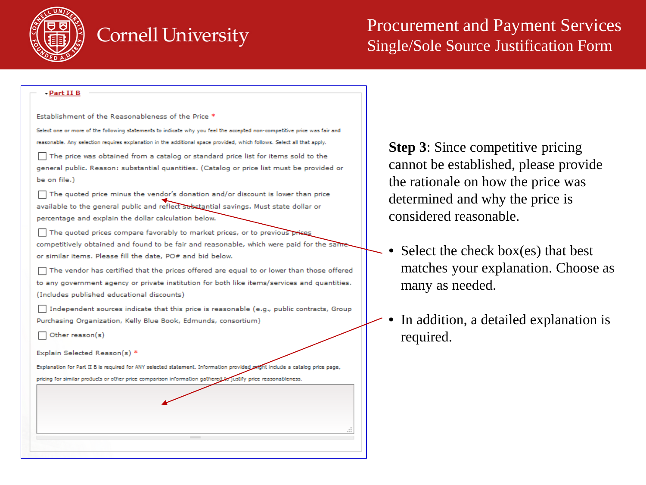

| <u>- Part II B</u>                                                                                                         |  |
|----------------------------------------------------------------------------------------------------------------------------|--|
| Establishment of the Reasonableness of the Price *                                                                         |  |
| Select one or more of the following statements to indicate why you feel the accepted non-competitive price was fair and    |  |
| reasonable. Any selection requires explanation in the additional space provided, which follows. Select all that apply,     |  |
| The price was obtained from a catalog or standard price list for items sold to the                                         |  |
| general public. Reason: substantial quantities. (Catalog or price list must be provided or<br>be on file.)                 |  |
| The quoted price minus the vendor's donation and/or discount is lower than price                                           |  |
| available to the general public and reflect substantial savings. Must state dollar or                                      |  |
| percentage and explain the dollar calculation below.                                                                       |  |
| The quoted prices compare favorably to market prices, or to previous prises                                                |  |
| competitively obtained and found to be fair and reasonable, which were paid for the same                                   |  |
| or similar items. Please fill the date, PO# and bid below.                                                                 |  |
| The vendor has certified that the prices offered are equal to or lower than those offered                                  |  |
| to any government agency or private institution for both like items/services and quantities.                               |  |
| (Includes published educational discounts)                                                                                 |  |
| Independent sources indicate that this price is reasonable (e.g., public contracts, Group                                  |  |
| Purchasing Organization, Kelly Blue Book, Edmunds, consortium)                                                             |  |
| Other reason(s)                                                                                                            |  |
| Explain Selected Reason(s) *                                                                                               |  |
| Explanation for Part II B is required for ANY selected statement. Information provided wight include a catalog price page, |  |
| pricing for similar products or other price comparison information gathered to justify price reasonableness.               |  |

**Step 3**: Since competitive pricing cannot be established, please provide the rationale on how the price was determined and why the price is considered reasonable.

- Select the check box(es) that best matches your explanation. Choose as many as needed.
- In addition, a detailed explanation is required.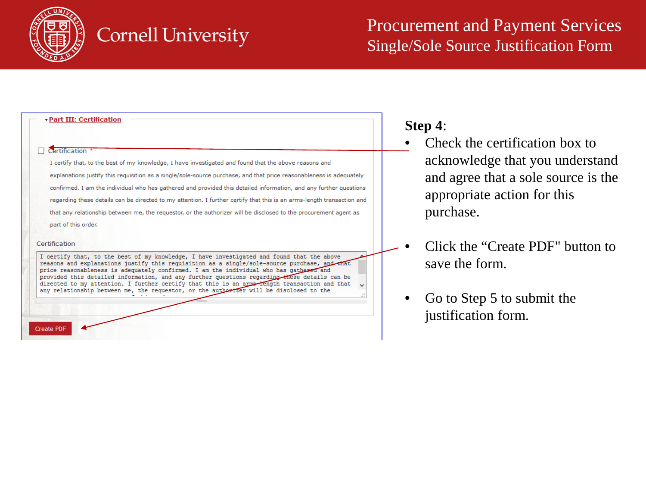

| · Part III: Certification                                                                                                                                                                                                                                                                            |
|------------------------------------------------------------------------------------------------------------------------------------------------------------------------------------------------------------------------------------------------------------------------------------------------------|
|                                                                                                                                                                                                                                                                                                      |
| Certification                                                                                                                                                                                                                                                                                        |
| I certify that, to the best of my knowledge, I have investigated and found that the above reasons and                                                                                                                                                                                                |
| explanations justify this requisition as a single/sole-source purchase, and that price reasonableness is adequately                                                                                                                                                                                  |
| confirmed. I am the individual who has gathered and provided this detailed information, and any further questions                                                                                                                                                                                    |
| regarding these details can be directed to my attention. I further certify that this is an arms-length transaction and                                                                                                                                                                               |
| that any relationship between me, the requestor, or the authorizer will be disclosed to the procurement agent as                                                                                                                                                                                     |
| part of this order.                                                                                                                                                                                                                                                                                  |
| Certification<br>I certify that, to the best of my knowledge, I have investigated and found that the above<br>reasons and explanations justify this requisition as a single/sole-source purchase, and that<br>price reasonableness is adequately confirmed. I am the individual who has gathered and |
| provided this detailed information, and any further questions regarding these details can be<br>directed to my attention. I further certify that this is an arms-rength transaction and that<br>any relationship between me, the requestor, or the authorizer will be disclosed to the               |
|                                                                                                                                                                                                                                                                                                      |
| <b>Create PDF</b>                                                                                                                                                                                                                                                                                    |

#### **Step 4**:

- Check the certification box to acknowledge that you understand and agree that a sole source is the appropriate action for this purchase.
- Click the "Create PDF" button to save the form.
- Go to Step 5 to submit the justification form.